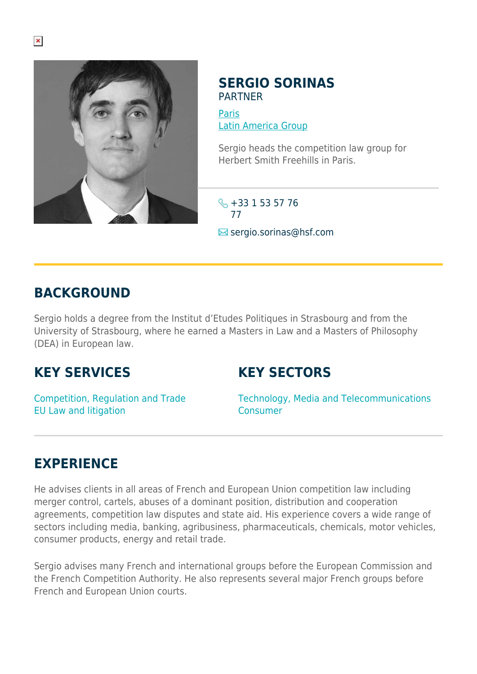

#### **SERGIO SORINAS** PARTNER

[Paris](https://www.herbertsmithfreehills.com/where-we-work/paris) [Latin America Group](https://www.herbertsmithfreehills.com/where-we-work/latin-america-group)

Sergio heads the competition law group for Herbert Smith Freehills in Paris.

 $\leftarrow +331535776$ 77

 $\blacksquare$  sergio.sorinas@hsf.com

### **BACKGROUND**

Sergio holds a degree from the Institut d'Etudes Politiques in Strasbourg and from the University of Strasbourg, where he earned a Masters in Law and a Masters of Philosophy (DEA) in European law.

# **KEY SERVICES**

# **KEY SECTORS**

Competition, Regulation and Trade EU Law and litigation

Technology, Media and Telecommunications Consumer

# **EXPERIENCE**

He advises clients in all areas of French and European Union competition law including merger control, cartels, abuses of a dominant position, distribution and cooperation agreements, competition law disputes and state aid. His experience covers a wide range of sectors including media, banking, agribusiness, pharmaceuticals, chemicals, motor vehicles, consumer products, energy and retail trade.

Sergio advises many French and international groups before the European Commission and the French Competition Authority. He also represents several major French groups before French and European Union courts.